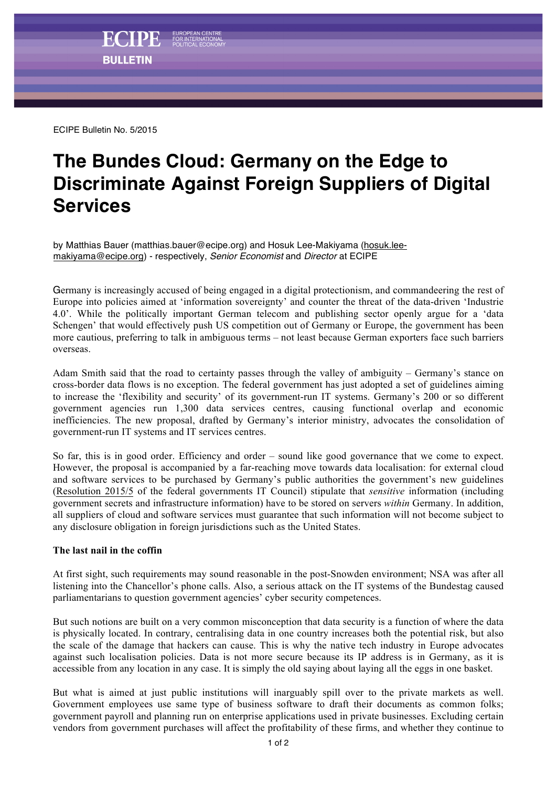ECIPE Bulletin No. 5/2015

## **The Bundes Cloud: Germany on the Edge to Discriminate Against Foreign Suppliers of Digital Services**

by Matthias Bauer (matthias.bauer@ecipe.org) and Hosuk Lee-Makiyama (hosuk.leemakiyama@ecipe.org) - respectively, *Senior Economist* and *Director* at ECIPE

Germany is increasingly accused of being engaged in a digital protectionism, and commandeering the rest of Europe into policies aimed at 'information sovereignty' and counter the threat of the data-driven 'Industrie 4.0'. While the politically important German telecom and publishing sector openly argue for a 'data Schengen' that would effectively push US competition out of Germany or Europe, the government has been more cautious, preferring to talk in ambiguous terms – not least because German exporters face such barriers overseas.

Adam Smith said that the road to certainty passes through the valley of ambiguity – Germany's stance on cross-border data flows is no exception. The federal government has just adopted a set of guidelines aiming to increase the 'flexibility and security' of its government-run IT systems. Germany's 200 or so different government agencies run 1,300 data services centres, causing functional overlap and economic inefficiencies. The new proposal, drafted by Germany's interior ministry, advocates the consolidation of government-run IT systems and IT services centres.

So far, this is in good order. Efficiency and order – sound like good governance that we come to expect. However, the proposal is accompanied by a far-reaching move towards data localisation: for external cloud and software services to be purchased by Germany's public authorities the government's new guidelines (Resolution 2015/5 of the federal governments IT Council) stipulate that *sensitive* information (including government secrets and infrastructure information) have to be stored on servers *within* Germany. In addition, all suppliers of cloud and software services must guarantee that such information will not become subject to any disclosure obligation in foreign jurisdictions such as the United States.

## **The last nail in the coffin**

At first sight, such requirements may sound reasonable in the post-Snowden environment; NSA was after all listening into the Chancellor's phone calls. Also, a serious attack on the IT systems of the Bundestag caused parliamentarians to question government agencies' cyber security competences.

But such notions are built on a very common misconception that data security is a function of where the data is physically located. In contrary, centralising data in one country increases both the potential risk, but also the scale of the damage that hackers can cause. This is why the native tech industry in Europe advocates against such localisation policies. Data is not more secure because its IP address is in Germany, as it is accessible from any location in any case. It is simply the old saying about laying all the eggs in one basket.

But what is aimed at just public institutions will inarguably spill over to the private markets as well. Government employees use same type of business software to draft their documents as common folks; government payroll and planning run on enterprise applications used in private businesses. Excluding certain vendors from government purchases will affect the profitability of these firms, and whether they continue to